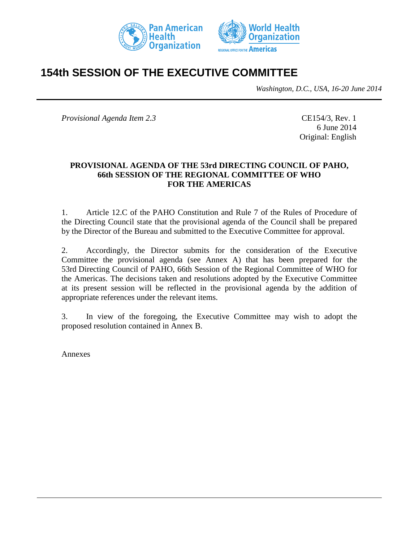



# **154th SESSION OF THE EXECUTIVE COMMITTEE**

*Washington, D.C., USA, 16-20 June 2014*

*Provisional Agenda Item 2.3* CE154/3, Rev. 1

6 June 2014 Original: English

#### **PROVISIONAL AGENDA OF THE 53rd DIRECTING COUNCIL OF PAHO, 66th SESSION OF THE REGIONAL COMMITTEE OF WHO FOR THE AMERICAS**

1. Article 12.C of the PAHO Constitution and Rule 7 of the Rules of Procedure of the Directing Council state that the provisional agenda of the Council shall be prepared by the Director of the Bureau and submitted to the Executive Committee for approval.

2. Accordingly, the Director submits for the consideration of the Executive Committee the provisional agenda (see Annex A) that has been prepared for the 53rd Directing Council of PAHO, 66th Session of the Regional Committee of WHO for the Americas. The decisions taken and resolutions adopted by the Executive Committee at its present session will be reflected in the provisional agenda by the addition of appropriate references under the relevant items.

3. In view of the foregoing, the Executive Committee may wish to adopt the proposed resolution contained in Annex B.

Annexes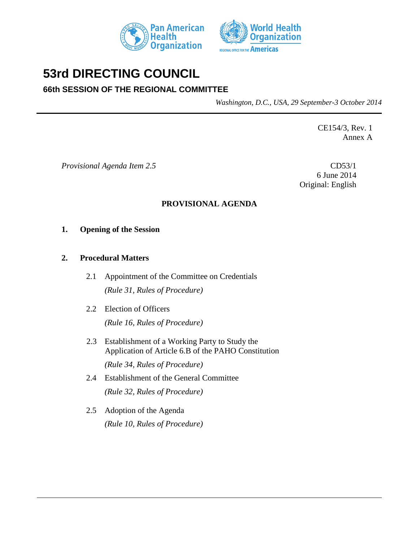



# **53rd DIRECTING COUNCIL**

# **66th SESSION OF THE REGIONAL COMMITTEE**

*Washington, D.C., USA, 29 September-3 October 2014*

CE154/3, Rev. 1 Annex A

*Provisional Agenda Item 2.5* CD53/1

6 June 2014 Original: English

## **PROVISIONAL AGENDA**

#### **1. Opening of the Session**

#### **2. Procedural Matters**

- 2.1 Appointment of the Committee on Credentials *(Rule 31, Rules of Procedure)*
- 2.2 Election of Officers *(Rule 16, Rules of Procedure)*
- 2.3 Establishment of a Working Party to Study the Application of Article 6.B of the PAHO Constitution *(Rule 34, Rules of Procedure)*
- 2.4 Establishment of the General Committee *(Rule 32, Rules of Procedure)*
- 2.5 Adoption of the Agenda *(Rule 10, Rules of Procedure)*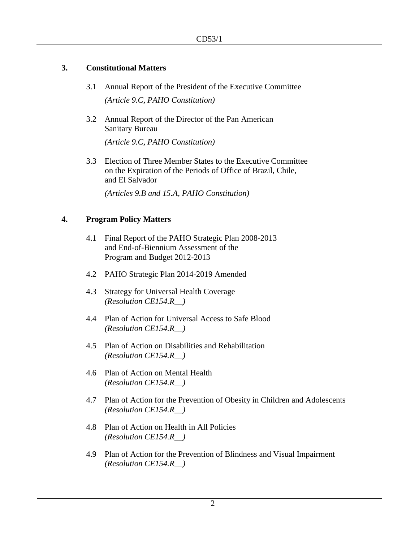#### **3. Constitutional Matters**

- 3.1 Annual Report of the President of the Executive Committee *(Article 9.C, PAHO Constitution)*
- 3.2 Annual Report of the Director of the Pan American Sanitary Bureau

*(Article 9.C, PAHO Constitution)*

3.3 Election of Three Member States to the Executive Committee on the Expiration of the Periods of Office of Brazil, Chile, and El Salvador

*(Articles 9.B and 15.A, PAHO Constitution)*

#### **4. Program Policy Matters**

- 4.1 Final Report of the PAHO Strategic Plan 2008-2013 and End-of-Biennium Assessment of the Program and Budget 2012-2013
- 4.2 PAHO Strategic Plan 2014-2019 Amended
- 4.3 Strategy for Universal Health Coverage *(Resolution CE154.R\_\_)*
- 4.4 Plan of Action for Universal Access to Safe Blood *(Resolution CE154.R\_\_)*
- 4.5 Plan of Action on Disabilities and Rehabilitation *(Resolution CE154.R\_\_)*
- 4.6 Plan of Action on Mental Health *(Resolution CE154.R\_\_)*
- 4.7 Plan of Action for the Prevention of Obesity in Children and Adolescents *(Resolution CE154.R\_\_)*
- 4.8 Plan of Action on Health in All Policies *(Resolution CE154.R\_\_)*
- 4.9 Plan of Action for the Prevention of Blindness and Visual Impairment *(Resolution CE154.R\_\_)*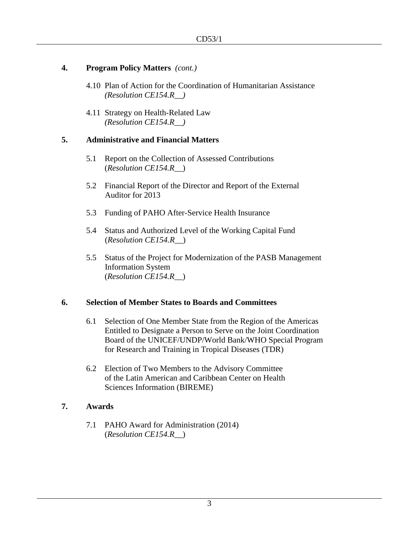#### **4. Program Policy Matters** *(cont.)*

- 4.10 Plan of Action for the Coordination of Humanitarian Assistance *(Resolution CE154.R\_\_)*
- 4.11 Strategy on Health-Related Law *(Resolution CE154.R\_\_)*

#### **5. Administrative and Financial Matters**

- 5.1 Report on the Collection of Assessed Contributions (*Resolution CE154.R\_\_*)
- 5.2 Financial Report of the Director and Report of the External Auditor for 2013
- 5.3 Funding of PAHO After-Service Health Insurance
- 5.4 Status and Authorized Level of the Working Capital Fund (*Resolution CE154.R\_\_*)
- 5.5 Status of the Project for Modernization of the PASB Management Information System (*Resolution CE154.R\_\_*)

#### **6. Selection of Member States to Boards and Committees**

- 6.1 Selection of One Member State from the Region of the Americas Entitled to Designate a Person to Serve on the Joint Coordination Board of the UNICEF/UNDP/World Bank/WHO Special Program for Research and Training in Tropical Diseases (TDR)
- 6.2 Election of Two Members to the Advisory Committee of the Latin American and Caribbean Center on Health Sciences Information (BIREME)

#### **7. Awards**

7.1 PAHO Award for Administration (2014) (*Resolution CE154.R\_\_*)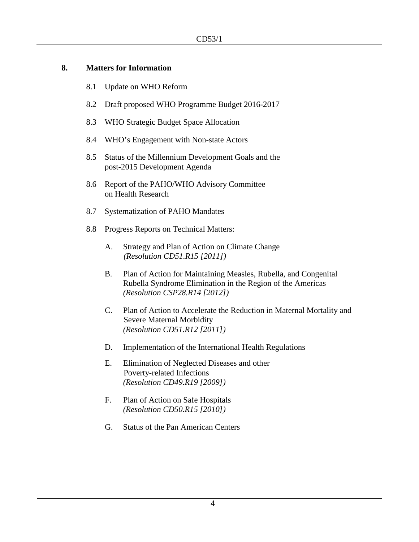#### **8. Matters for Information**

- 8.1 Update on WHO Reform
- 8.2 Draft proposed WHO Programme Budget 2016-2017
- 8.3 WHO Strategic Budget Space Allocation
- 8.4 WHO's Engagement with Non-state Actors
- 8.5 Status of the Millennium Development Goals and the post-2015 Development Agenda
- 8.6 Report of the PAHO/WHO Advisory Committee on Health Research
- 8.7 Systematization of PAHO Mandates
- 8.8 Progress Reports on Technical Matters:
	- A. Strategy and Plan of Action on Climate Change *(Resolution CD51.R15 [2011])*
	- B. Plan of Action for Maintaining Measles, Rubella, and Congenital Rubella Syndrome Elimination in the Region of the Americas *(Resolution CSP28.R14 [2012])*
	- C. Plan of Action to Accelerate the Reduction in Maternal Mortality and Severe Maternal Morbidity *(Resolution CD51.R12 [2011])*
	- D. Implementation of the International Health Regulations
	- E. Elimination of Neglected Diseases and other Poverty-related Infections *(Resolution CD49.R19 [2009])*
	- F. Plan of Action on Safe Hospitals *(Resolution CD50.R15 [2010])*
	- G. Status of the Pan American Centers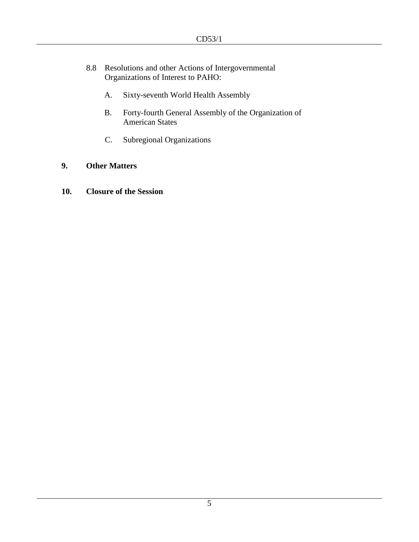- 8.8 Resolutions and other Actions of Intergovernmental Organizations of Interest to PAHO:
	- A. Sixty-seventh World Health Assembly
	- B. Forty-fourth General Assembly of the Organization of American States
	- C. Subregional Organizations

### **9. Other Matters**

**10. Closure of the Session**